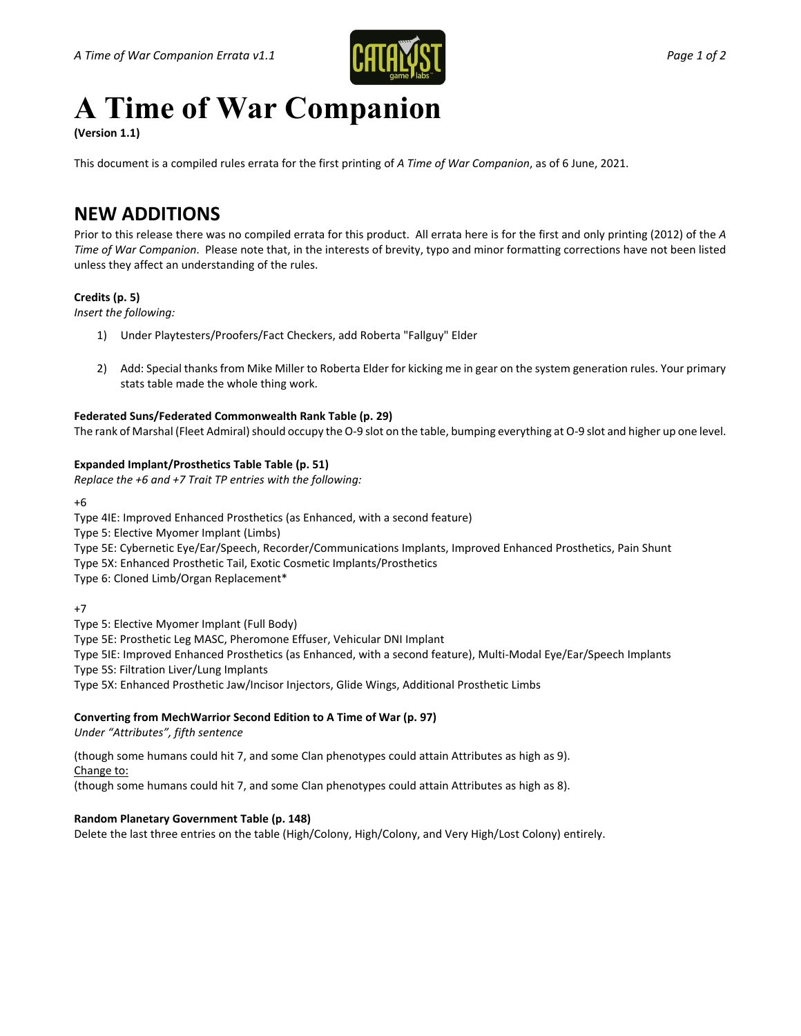

# **A Time of War Companion**

**(Version 1.1)**

This document is a compiled rules errata for the first printing of *A Time of War Companion*, as of 6 June, 2021.

## **NEW ADDITIONS**

Prior to this release there was no compiled errata for this product. All errata here is for the first and only printing (2012) of the *A Time of War Companion*. Please note that, in the interests of brevity, typo and minor formatting corrections have not been listed unless they affect an understanding of the rules.

#### **Credits (p. 5)**

*Insert the following:*

- 1) Under Playtesters/Proofers/Fact Checkers, add Roberta "Fallguy" Elder
- 2) Add: Special thanks from Mike Miller to Roberta Elder for kicking me in gear on the system generation rules. Your primary stats table made the whole thing work.

#### **Federated Suns/Federated Commonwealth Rank Table (p. 29)**

The rank of Marshal (Fleet Admiral) should occupy the O-9 slot on the table, bumping everything at O-9 slot and higher up one level.

#### **Expanded Implant/Prosthetics Table Table (p. 51)**

*Replace the +6 and +7 Trait TP entries with the following:*

+6

Type 4IE: Improved Enhanced Prosthetics (as Enhanced, with a second feature)

Type 5: Elective Myomer Implant (Limbs)

Type 5E: Cybernetic Eye/Ear/Speech, Recorder/Communications Implants, Improved Enhanced Prosthetics, Pain Shunt

Type 5X: Enhanced Prosthetic Tail, Exotic Cosmetic Implants/Prosthetics

Type 6: Cloned Limb/Organ Replacement\*

+7

Type 5: Elective Myomer Implant (Full Body)

Type 5E: Prosthetic Leg MASC, Pheromone Effuser, Vehicular DNI Implant

Type 5IE: Improved Enhanced Prosthetics (as Enhanced, with a second feature), Multi-Modal Eye/Ear/Speech Implants

Type 5S: Filtration Liver/Lung Implants

Type 5X: Enhanced Prosthetic Jaw/Incisor Injectors, Glide Wings, Additional Prosthetic Limbs

#### **Converting from MechWarrior Second Edition to A Time of War (p. 97)**

*Under "Attributes", fifth sentence*

(though some humans could hit 7, and some Clan phenotypes could attain Attributes as high as 9).

### Change to:

(though some humans could hit 7, and some Clan phenotypes could attain Attributes as high as 8).

#### **Random Planetary Government Table (p. 148)**

Delete the last three entries on the table (High/Colony, High/Colony, and Very High/Lost Colony) entirely.